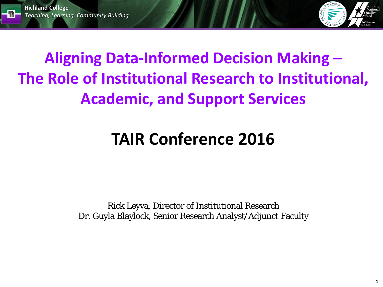



### **Aligning Data-Informed Decision Making – The Role of Institutional Research to Institutional, Academic, and Support Services**

### **TAIR Conference 2016**

Rick Leyva, Director of Institutional Research Dr. Guyla Blaylock, Senior Research Analyst/Adjunct Faculty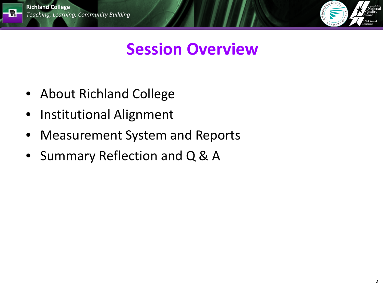



### **Session Overview**

- About Richland College
- Institutional Alignment
- Measurement System and Reports
- Summary Reflection and Q & A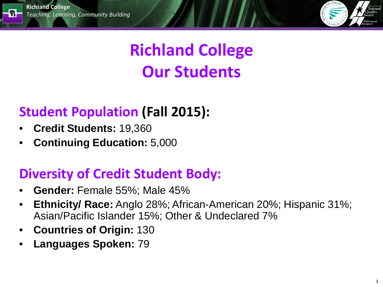



# **Richland College Our Students**

#### **Student Population (Fall 2015):**

- **Credit Students:** 19,360
- **Continuing Education:** 5,000

#### **Diversity of Credit Student Body:**

- **Gender:** Female 55%; Male 45%
- **Ethnicity/ Race:** Anglo 28%; African-American 20%; Hispanic 31%; Asian/Pacific Islander 15%; Other & Undeclared 7%
- **Countries of Origin:** 130
- **Languages Spoken:** 79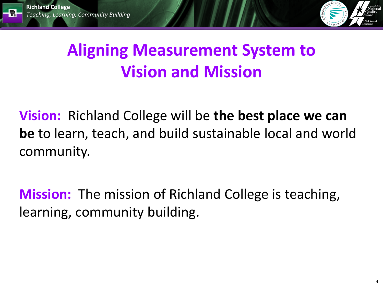킒



### **Aligning Measurement System to Vision and Mission**

**Vision:** Richland College will be **the best place we can be** to learn, teach, and build sustainable local and world community.

**Mission:** The mission of Richland College is teaching, learning, community building.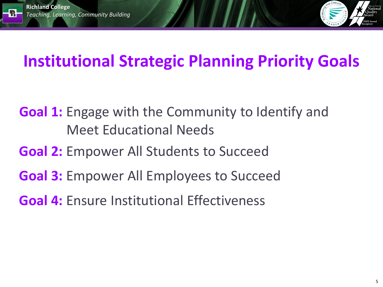쿾.



### **Institutional Strategic Planning Priority Goals**

- **Goal 1:** Engage with the Community to Identify and Meet Educational Needs
- **Goal 2:** Empower All Students to Succeed
- **Goal 3:** Empower All Employees to Succeed
- **Goal 4:** Ensure Institutional Effectiveness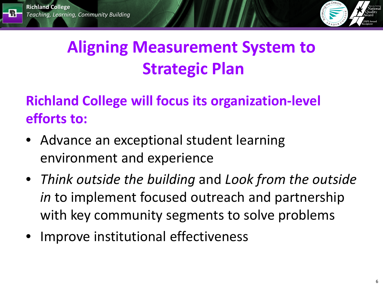R.



# **Aligning Measurement System to Strategic Plan**

#### **Richland College will focus its organization-level efforts to:**

- Advance an exceptional student learning environment and experience
- *Think outside the building* and *Look from the outside in* to implement focused outreach and partnership with key community segments to solve problems
- Improve institutional effectiveness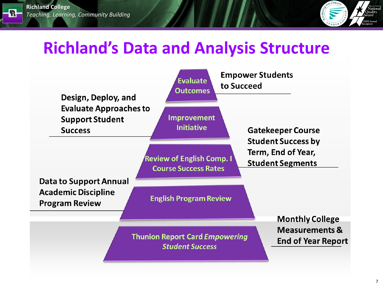R.



#### **Richland's Data and Analysis Structure**

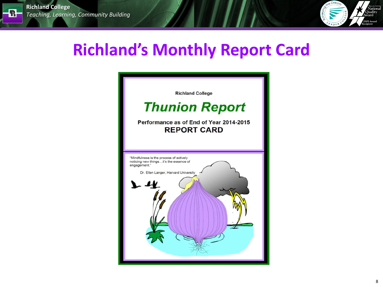$\overline{\mathbf{R}}$  .



### **Richland's Monthly Report Card**

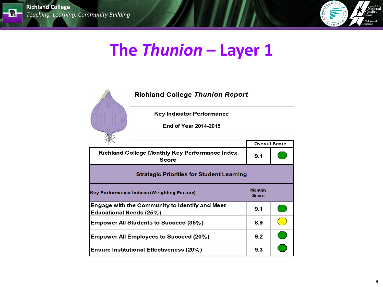$\blacksquare$ 



#### The Thunion - Layer 1

|                                                       | <b>Richland College Thunion Report</b>           |                                |  |  |  |  |  |  |  |
|-------------------------------------------------------|--------------------------------------------------|--------------------------------|--|--|--|--|--|--|--|
|                                                       | Key Indicator Performance                        |                                |  |  |  |  |  |  |  |
|                                                       | End of Year 2014-2015                            |                                |  |  |  |  |  |  |  |
|                                                       |                                                  | <b>Overall Score</b>           |  |  |  |  |  |  |  |
| <b>Richland College Monthly Key Performance Index</b> | 9.1                                              |                                |  |  |  |  |  |  |  |
|                                                       | <b>Strategic Priorities for Student Learning</b> |                                |  |  |  |  |  |  |  |
|                                                       | Key Performance Indices (Weighting Factors)      | <b>Monthly</b><br><b>Score</b> |  |  |  |  |  |  |  |
| Educational Needs (25%)                               | Engage with the Community to Identify and Meet   | 9.1                            |  |  |  |  |  |  |  |
| <b>Empower All Students to Succeed (35%)</b>          | 8.9                                              |                                |  |  |  |  |  |  |  |
| <b>Empower All Employees to Succeed (20%)</b>         | 9.2                                              |                                |  |  |  |  |  |  |  |
| <b>Ensure Institutional Effectiveness (20%)</b>       | 9.3                                              |                                |  |  |  |  |  |  |  |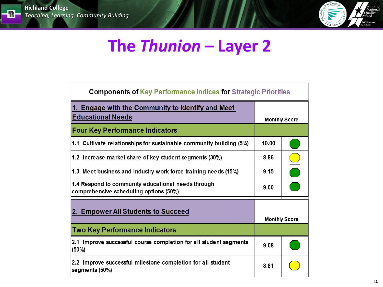

### The Thunion - Layer 2

| <b>Components of Key Performance Indices for Strategic Priorities</b>                        |                      |  |  |  |  |  |  |  |  |  |
|----------------------------------------------------------------------------------------------|----------------------|--|--|--|--|--|--|--|--|--|
| 1. Engage with the Community to Identify and Meet<br><b>Educational Needs</b>                | <b>Monthly Score</b> |  |  |  |  |  |  |  |  |  |
| <b>Four Key Performance Indicators</b>                                                       |                      |  |  |  |  |  |  |  |  |  |
| 1.1 Cultivate relationships for sustainable community building (5%)                          | 10.00                |  |  |  |  |  |  |  |  |  |
| 1.2 Increase market share of key student segments (30%)                                      | 8.86                 |  |  |  |  |  |  |  |  |  |
| 1.3 Meet business and industry work force training needs (15%)                               | 9.15                 |  |  |  |  |  |  |  |  |  |
| 1.4 Respond to community educational needs through<br>comprehensive scheduling options (50%) | 9.00                 |  |  |  |  |  |  |  |  |  |
| 2. Empower All Students to Succeed                                                           | <b>Monthly Score</b> |  |  |  |  |  |  |  |  |  |
| <b>Two Key Performance Indicators</b>                                                        |                      |  |  |  |  |  |  |  |  |  |
| 2.1 Improve successful course completion for all student segments<br>(50%)                   | 9.08                 |  |  |  |  |  |  |  |  |  |
| 2.2 Improve successful milestone completion for all student<br>segments (50%)                | 8.81                 |  |  |  |  |  |  |  |  |  |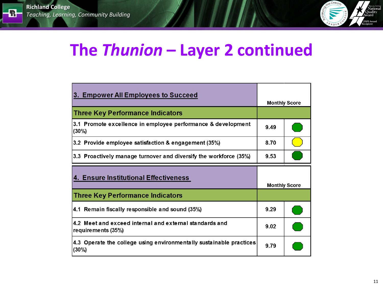$\blacksquare$ 



### The Thunion - Layer 2 continued

| 3. Empower All Employees to Succeed                                           |                      | <b>Monthly Score</b> |  |
|-------------------------------------------------------------------------------|----------------------|----------------------|--|
| <b>Three Key Performance Indicators</b>                                       |                      |                      |  |
| 3.1 Promote excellence in employee performance & development<br>(30%)         | 9.49                 |                      |  |
| 3.2 Provide employee satisfaction & engagement (35%)                          | 8.70                 |                      |  |
| 3.3 Proactively manage turnover and diversify the workforce (35%)             | 9.53                 |                      |  |
| 4. Ensure Institutional Effectiveness                                         | <b>Monthly Score</b> |                      |  |
| <b>Three Key Performance Indicators</b>                                       |                      |                      |  |
| 4.1 Remain fiscally responsible and sound (35%)                               | 9.29                 |                      |  |
| 4.2 Meet and exceed internal and external standards and<br>requirements (35%) | 9.02                 |                      |  |
| 4.3 Operate the college using environmentally sustainable practices<br>(30%)  | 9.79                 |                      |  |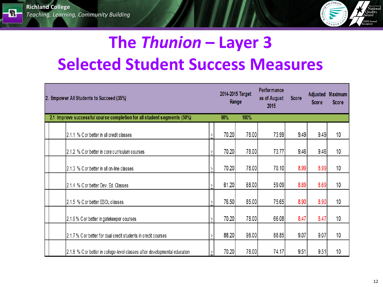$\mathbb{R}$  .



# The Thunion - Layer 3 **Selected Student Success Measures**

| 2. Empower All Students to Succeed (35%)                                   | 2014-2015 Target | Range | Performance<br>as of August<br>2015 | <b>Score</b> | <b>Adjusted</b><br><b>Score</b> | <b>Maximum</b><br><b>Score</b> |
|----------------------------------------------------------------------------|------------------|-------|-------------------------------------|--------------|---------------------------------|--------------------------------|
| 2.1 Improve successful course completion for all student segments (50%)    | 90%              | 100%  |                                     |              |                                 |                                |
| 2.1.1 % C or better in all credit classes                                  | 70.20            | 78.00 | 73.99                               | 9.49         | 9.49                            | 10                             |
| 2.1.2 % C or better in core curriculum courses                             | 70.20            | 78.00 | 73.77                               | 9.46         | 9.46                            | 10                             |
| 2.1.3 % C or better in all on-line classes                                 | 70.20            | 78.00 | 70.10                               | 8.99         | 8.99                            | 10                             |
| 2.1.4 % C or better Dev. Ed. Classes                                       | 61.20            | 68.00 | 59.09                               | 8.69         | 8.69                            | 10                             |
| 2.1.5 % C or better ESOL classes                                           | 76.50            | 85.00 | 75.65                               | 8.90         | 8.90                            | 10                             |
| 2.1.6 % C or better in gatekeeper courses                                  | 70.20            | 78.00 | 66.08                               | 8.47         | 8.47                            | 10                             |
| 2.1.7 % C or better for dual credit students in credit courses             | 88.20            | 98.00 | 88.85                               | 9.07         | 9.07                            | 10                             |
| 2.1.8 % C or better in college-level classes after developmental education | 70.20            | 78.00 | 74.17                               | 9.51         | 9.51                            | 10                             |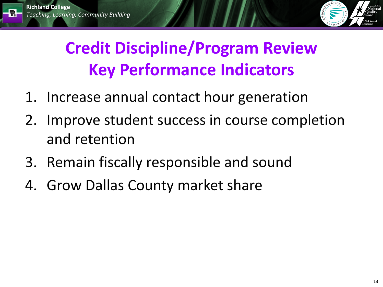킒



# **Credit Discipline/Program Review Key Performance Indicators**

- 1. Increase annual contact hour generation
- Improve student success in course completion 2. and retention
- 3. Remain fiscally responsible and sound
- 4. Grow Dallas County market share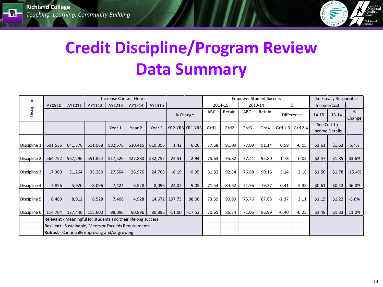$\mathbf{R}$  .



# **Credit Discipline/Program Review Data Summary**

|              |                                                               |                                                               |         | <b>Increase Contact Hours</b> |         |                   |          |                 |       |         |       | <b>Empower Student Success</b> |           |                   | Be Fiscally Responsible |                                      |             |
|--------------|---------------------------------------------------------------|---------------------------------------------------------------|---------|-------------------------------|---------|-------------------|----------|-----------------|-------|---------|-------|--------------------------------|-----------|-------------------|-------------------------|--------------------------------------|-------------|
|              | AY0910                                                        | AY1011                                                        | AY1112  | AY1213                        | AY1314  | AY1415            |          |                 |       | 2014-15 |       | 2013-14                        |           | ?                 | Income/Cost             |                                      |             |
| Discipline   |                                                               |                                                               |         |                               |         |                   |          | % Change        | ABC   | Retain  | ABC   | Retain                         |           | <b>Difference</b> | 14-15                   | $13 - 14$                            | %<br>Change |
|              |                                                               |                                                               |         | Year 1                        | Year 2  | Year <sub>3</sub> |          | YR2-YR3 YR1-YR3 | Grd1  | Grd2    | Grd3  | Grd4                           | Grd $1-3$ | Grd 2-4           |                         | See Cost to<br><b>Income Details</b> |             |
| Discipline 1 | 691,536                                                       | 641,376                                                       | 611,568 | 582,576                       | 610,416 | 619,056           | 1.42     | 6.26            | 77.68 | 91.09   | 77.09 | 91.14                          | 0.59      | $-0.05$           | \$1.61                  | \$1.53                               | 5.4%        |
| Discipline 2 | 564,752                                                       | 567,296                                                       | 551,824 | 517,520                       | 427,880 | 532,752           | 24.51    | 2.94            | 75.63 | 95.82   | 77.41 | 95.80                          | $-1.78$   | 0.02              | \$2.47                  | \$1.85                               | 33.6%       |
| Discipline 3 | 17,360                                                        | 31,264                                                        | 33,280  | 27,504                        | 26,976  | 24,768            | $-8.19$  | $-9.95$         | 81.82 | 92.34   | 76.68 | 90.16                          | 5.14      | 2.18              | \$1.50                  | \$1.78                               | $-15.4%$    |
| Discipline 4 | 7,856                                                         | 5,920                                                         | 8,096   | 7,424                         | 6,528   | 8,096             | 24.02    | 9.05            | 71.54 | 84.62   | 71.95 | 79.27                          | $-0.41$   | 5.35              | \$0.61                  | \$0.42                               | 46.0%       |
| Discipline 5 | 8,480                                                         | 8,912                                                         | 8,528   | 7,408                         | 4,928   | 14,672            | 197.73   | 98.06           | 73.39 | 90.99   | 75.76 | 87.88                          | $-2.37$   | 3.11              | \$1.15                  | \$1.22                               | $-5.6%$     |
| Discipline 6 | 114.704                                                       | 127,440                                                       | 115,600 | 98,096                        | 90,896  | 80,896            | $-11.00$ | $-17.53$        | 70.65 | 86.74   | 71.05 | 86.99                          | $-0.40$   | $-0.25$           | \$1.48                  | \$1.33                               | 11.0%       |
|              | Relevant - Meaningful for students and their lifelong success |                                                               |         |                               |         |                   |          |                 |       |         |       |                                |           |                   |                         |                                      |             |
|              |                                                               | <b>Resilient</b> - Sustainable, Meets or Exceeds Requirements |         |                               |         |                   |          |                 |       |         |       |                                |           |                   |                         |                                      |             |
|              |                                                               | <b>Robust</b> - Continually improving and/or growing          |         |                               |         |                   |          |                 |       |         |       |                                |           |                   |                         |                                      |             |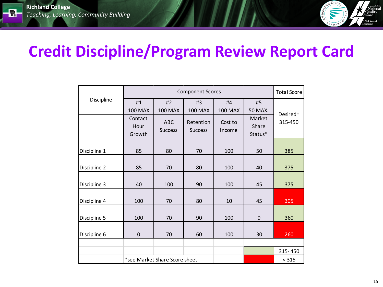$\blacksquare$ 



#### **Credit Discipline/Program Review Report Card**

|              |                           |                               | <b>Component Scores</b>     |                      |                                   | <b>Total Score</b> |  |
|--------------|---------------------------|-------------------------------|-----------------------------|----------------------|-----------------------------------|--------------------|--|
| Discipline   | #1<br><b>100 MAX</b>      | #2<br><b>100 MAX</b>          | #3<br><b>100 MAX</b>        | #4<br><b>100 MAX</b> | #5<br>50 MAX.                     | Desired=           |  |
|              | Contact<br>Hour<br>Growth | <b>ABC</b><br><b>Success</b>  | Retention<br><b>Success</b> | Cost to<br>Income    | <b>Market</b><br>Share<br>Status* | 315-450            |  |
| Discipline 1 | 85                        | 80                            | 70                          | 100                  | 50                                | 385                |  |
| Discipline 2 | 85                        | 70                            | 80                          | 100                  | 40                                | 375                |  |
| Discipline 3 | 40                        | 100                           | 90                          | 100                  | 45                                | 375                |  |
| Discipline 4 | 100                       | 70                            | 80                          | 10                   | 45                                | 305                |  |
| Discipline 5 | 100                       | 70                            | 90                          | 100                  | $\mathbf 0$                       | 360                |  |
| Discipline 6 | $\mathbf 0$               | 70                            | 60                          | 100                  | 30                                | 260                |  |
|              |                           |                               |                             |                      |                                   |                    |  |
|              |                           |                               |                             |                      | 315-450                           |                    |  |
|              |                           | *see Market Share Score sheet |                             |                      |                                   | < 315              |  |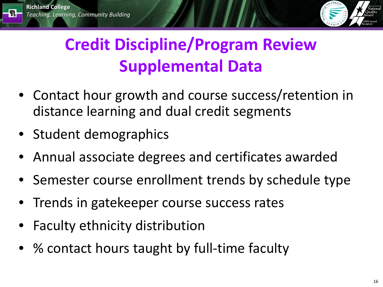飛



# **Credit Discipline/Program Review Supplemental Data**

- Contact hour growth and course success/retention in distance learning and dual credit segments
- Student demographics
- Annual associate degrees and certificates awarded
- Semester course enrollment trends by schedule type
- Trends in gatekeeper course success rates
- Faculty ethnicity distribution
- % contact hours taught by full-time faculty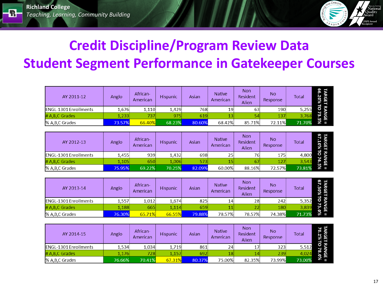$\mathbb R$  :



#### **Credit Discipline/Program Review Data Student Segment Performance in Gatekeeper Courses**

| AY 2011-12                   | Anglo  | African-<br>American | Hispanic | Asian  | <b>Native</b><br>American | <b>Non</b><br>Resident<br>Alien | <b>No</b><br>Response | Total  | 99<br>Z<br>ee<br>98 |
|------------------------------|--------|----------------------|----------|--------|---------------------------|---------------------------------|-----------------------|--------|---------------------|
| <b>ENGL-1301 Enrollments</b> | 1.676  | 1,110                | 1,429    | 768    | 19                        | 63                              | 190                   | 5,255  |                     |
| # A, B, C Grades             | 1,233  | 737                  | 975      | 619    |                           |                                 | 137                   | 3.768  | ω<br>유              |
| % A,B,C Grades               | 73.57% | 66.40%               | 68.23%   | 80.60% | 68.42%                    | 85.71%                          | 72.11%                | 71.70% | 88                  |

| AY 2012-13                   | Anglo  | African-<br>American | Hispanic | Asian  | <b>Native</b><br>American | Non<br>Resident<br>Alien | No<br>Response | <b>Total</b> | പ<br>Ţ<br>95<br>98 |
|------------------------------|--------|----------------------|----------|--------|---------------------------|--------------------------|----------------|--------------|--------------------|
| <b>ENGL-1301 Enrollments</b> | 1,455  | 939                  | 1,432    | 698    | 25                        | 761                      | 175            | 4,800        | ᄛ                  |
| # A, B, C Grades             | 1.105  | 650                  | 1.006    | 573    | 15                        |                          | 127            | 3.543        | 岛                  |
| % A,B,C Grades               | 75.95% | 69.22%               | 70.25%   | 82.09% | 60.00%                    | 88.16%                   | 72.57%         | 73.81%       | 5%                 |

| AY 2013-14                   | Anglo  | African-<br>American | Hispanic | Asian  | <b>Native</b><br>American | <b>Non</b><br>Resident<br>Alien | No<br>Response | <b>Total</b> | പ<br>Gт<br>운 명 |
|------------------------------|--------|----------------------|----------|--------|---------------------------|---------------------------------|----------------|--------------|----------------|
| <b>ENGL-1301 Enrollments</b> | 1,557  | 1,012                | 1,674    | 825    | 14                        | 28                              | 242            | 5.352        |                |
| # A, B, C Grades             | 1,188  | 665                  | 1,114    | 659    | 11                        |                                 | 180            | 3.839        | GТ             |
| % A,B,C Grades               | 76.30% | 65.71%               | 66.55%   | 79.88% | 78.57%                    | 78.57%                          | 74.38%         | 71.73%       | %0<br>ш        |

| AY 2014-15                   | Anglo  | African-<br>American | Hispanic | Asian  | <b>Native</b><br>American | Non<br>Resident<br>Alien | <b>No</b><br>Response | Total  | <b>SIE</b><br>22<br>2%<br>2% |
|------------------------------|--------|----------------------|----------|--------|---------------------------|--------------------------|-----------------------|--------|------------------------------|
| <b>ENGL-1301 Enrollments</b> | 1,534  | 1,034                | 1,719    | 861    | 24                        | 17                       | 323                   | 5,512  | ł                            |
| # A, B, C Grades             | 1,176  | 728                  | 1,157    | 692    | 18                        |                          | 239                   | 4.024  | œ<br>- 15<br>- 19            |
| % A, B, C Grades             | 76.66% | 70.41%               | 67.31%   | 80.37% | 75.00%                    | 82.35%                   | 73.99%                | 73.00% |                              |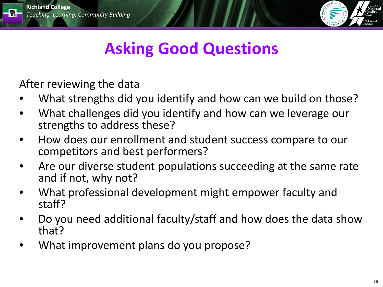퀇.



### **Asking Good Questions**

After reviewing the data

- What strengths did you identify and how can we build on those?
- What challenges did you identify and how can we leverage our strengths to address these?
- How does our enrollment and student success compare to our competitors and best performers?
- Are our diverse student populations succeeding at the same rate and if not, why not?
- What professional development might empower faculty and staff?
- Do you need additional faculty/staff and how does the data show that?
- What improvement plans do you propose?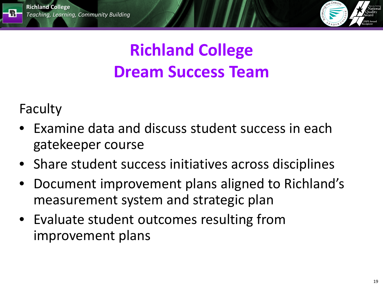

# **Richland College Dream Success Team**

Faculty

R.

- Examine data and discuss student success in each gatekeeper course
- Share student success initiatives across disciplines
- Document improvement plans aligned to Richland's measurement system and strategic plan
- Evaluate student outcomes resulting from improvement plans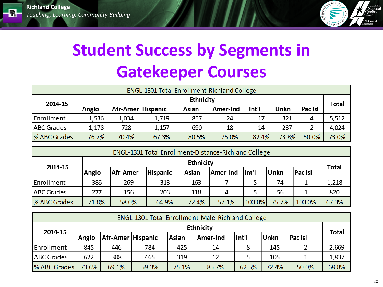$\mathbb{R}$  .



# **Student Success by Segments in Gatekeeper Courses**

| <b>ENGL-1301 Total Enrollment-Richland College</b> |           |                     |       |              |          |       |       |                |              |  |
|----------------------------------------------------|-----------|---------------------|-------|--------------|----------|-------|-------|----------------|--------------|--|
| 2014-15                                            | Ethnicity |                     |       |              |          |       |       |                |              |  |
|                                                    | Anglo     | Afr-Amer   Hispanic |       | <b>Asian</b> | Amer-Ind | lnt'l | Unkn  | <b>Pac Isl</b> | <b>Total</b> |  |
| Enrollment                                         | 1,536     | 1,034               | 1,719 | 857          | 24       | 17    | 321   | 4              | 5,512        |  |
| <b>ABC</b> Grades                                  | 1,178     | 728                 | 1,157 | 690          | 18       | 14    | 237   |                | 4,024        |  |
| % ABC Grades                                       | 76.7%     | 70.4%               | 67.3% | 80.5%        | 75.0%    | 82.4% | 73.8% | 50.0%          | 73.0%        |  |

| <b>ENGL-1301 Total Enrollment-Distance-Richland College</b> |                  |          |                 |       |          |        |       |         |              |  |
|-------------------------------------------------------------|------------------|----------|-----------------|-------|----------|--------|-------|---------|--------------|--|
| 2014-15                                                     | <b>Ethnicity</b> |          |                 |       |          |        |       |         |              |  |
|                                                             | Anglo            | Afr-Amer | <b>Hispanic</b> | Asian | Amer-Ind | lnt'l  | ∣Unkn | Pac Isl | <b>Total</b> |  |
| Enrollment                                                  | 386              | 269      | 313             | 163   |          |        | 74    |         | 1,218        |  |
| <b>ABC</b> Grades                                           | 277              | 156      | 203             | 118   | 4        |        | 56    |         | 820          |  |
| % ABC Grades                                                | 71.8%            | 58.0%    | 64.9%           | 72.4% | 57.1%    | 100.0% | 75.7% | 100.0%  | 67.3%        |  |

| <b>ENGL-1301 Total Enrollment-Male-Richland College</b> |                  |                   |       |       |          |       |             |                |              |
|---------------------------------------------------------|------------------|-------------------|-------|-------|----------|-------|-------------|----------------|--------------|
| 2014-15                                                 | <b>Ethnicity</b> |                   |       |       |          |       |             |                | <b>Total</b> |
|                                                         | Anglo            | Afr-Amer Hispanic |       | Asian | Amer-Ind | Int'l | <b>Unkn</b> | <b>Pac Isl</b> |              |
| Enrollment                                              | 845              | 446               | 784   | 425   | 14       |       | 145         |                | 2,669        |
| <b>ABC</b> Grades                                       | 622              | 308               | 465   | 319   | 12       |       | 105         |                | 1,837        |
| % ABC Grades                                            | 73.6%            | 69.1%             | 59.3% | 75.1% | 85.7%    | 62.5% | 72.4%       | 50.0%          | 68.8%        |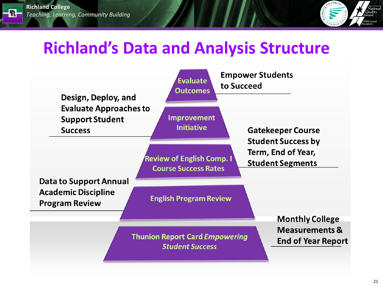R.



#### **Richland's Data and Analysis Structure**